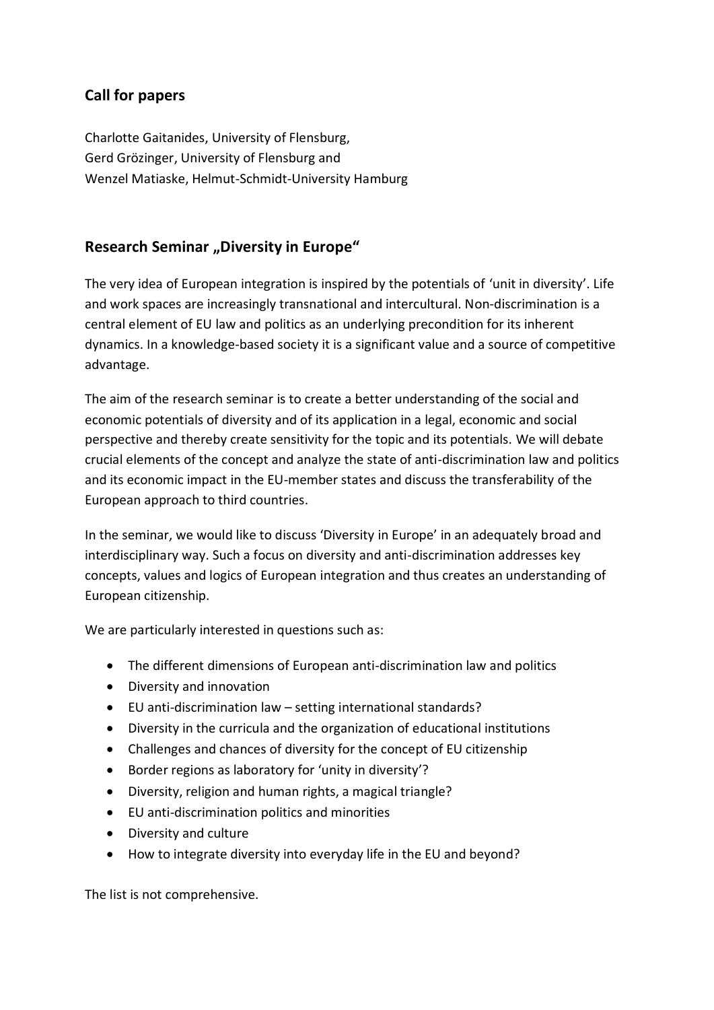## **Call for papers**

Charlotte Gaitanides, University of Flensburg, Gerd Grözinger, University of Flensburg and Wenzel Matiaske, Helmut-Schmidt-University Hamburg

## **Research Seminar "Diversity in Europe"**

The very idea of European integration is inspired by the potentials of 'unit in diversity'. Life and work spaces are increasingly transnational and intercultural. Non-discrimination is a central element of EU law and politics as an underlying precondition for its inherent dynamics. In a knowledge-based society it is a significant value and a source of competitive advantage.

The aim of the research seminar is to create a better understanding of the social and economic potentials of diversity and of its application in a legal, economic and social perspective and thereby create sensitivity for the topic and its potentials. We will debate crucial elements of the concept and analyze the state of anti-discrimination law and politics and its economic impact in the EU-member states and discuss the transferability of the European approach to third countries.

In the seminar, we would like to discuss 'Diversity in Europe' in an adequately broad and interdisciplinary way. Such a focus on diversity and anti-discrimination addresses key concepts, values and logics of European integration and thus creates an understanding of European citizenship.

We are particularly interested in questions such as:

- The different dimensions of European anti-discrimination law and politics
- Diversity and innovation
- EU anti-discrimination law setting international standards?
- Diversity in the curricula and the organization of educational institutions
- Challenges and chances of diversity for the concept of EU citizenship
- Border regions as laboratory for 'unity in diversity'?
- Diversity, religion and human rights, a magical triangle?
- EU anti-discrimination politics and minorities
- Diversity and culture
- How to integrate diversity into everyday life in the EU and beyond?

The list is not comprehensive.